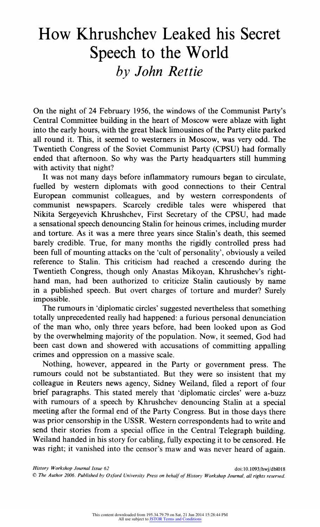## How Khrushchev Leaked his Secret Speech to the World by John Rettie

On the night of 24 February 1956, the windows of the Communist Party's Central Committee building in the heart of Moscow were ablaze with light into the early hours, with the great black limousines of the Party elite parked all round it. This, it seemed to westerners in Moscow, was very odd. The Twentieth Congress of the Soviet Communist Party (CPSU) had formally ended that afternoon. So why was the Party headquarters still humming with activity that night?

It was not many days before inflammatory rumours began to circulate, fuelled by western diplomats with good connections to their Central European communist colleagues, and by western correspondents of communist newspapers. Scarcely credible tales were whispered that Nikita Sergeyevich Khrushchev, First Secretary of the CPSU, had made a sensational speech denouncing Stalin for heinous crimes, including murder and torture. As it was a mere three years since Stalin's death, this seemed barely credible. True, for many months the rigidly controlled press had been full of mounting attacks on the 'cult of personality', obviously a veiled reference to Stalin. This criticism had reached a crescendo during the Twentieth Congress, though only Anastas Mikoyan, Khrushchev's right hand man, had been authorized to criticize Stalin cautiously by name in a published speech. But overt charges of torture and murder? Surely impossible.

The rumours in 'diplomatic circles' suggested nevertheless that something totally unprecedented really had happened: a furious personal denunciation of the man who, only three years before, had been looked upon as God by the overwhelming majority of the population. Now, it seemed, God had been cast down and showered with accusations of committing appalling crimes and oppression on a massive scale.

Nothing, however, appeared in the Party or government press. The rumours could not be substantiated. But they were so insistent that my colleague in Reuters news agency, Sidney Weiland, filed a report of four brief paragraphs. This stated merely that 'diplomatic circles' were a-buzz with rumours of a speech by Khrushchev denouncing Stalin at a special meeting after the formal end of the Party Congress. But in those days there was prior censorship in the USSR. Western correspondents had to write and send their stories from a special office in the Central Telegraph building. Weiland handed in his story for cabling, fully expecting it to be censored. He was right; it vanished into the censor's maw and was never heard of again.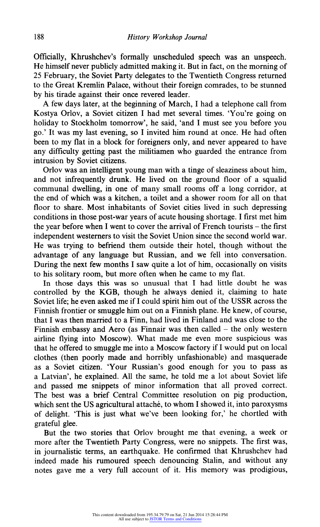Officially, Khrushchev's formally unscheduled speech was an unspeech. He himself never publicly admitted making it. But in fact, on the morning of 25 February, the Soviet Party delegates to the Twentieth Congress returned to the Great Kremlin Palace, without their foreign comrades, to be stunned by his tirade against their once revered leader.

A few days later, at the beginning of March, I had a telephone call from Kostya Orlov, a Soviet citizen I had met several times. 'You're going on holiday to Stockholm tomorrow', he said, 'and I must see you before you go.' It was my last evening, so I invited him round at once. He had often been to my flat in a block for foreigners only, and never appeared to have been to my flat in a block for foreigners only, and never appeared to have any difficulty getting past the militiamen who guarded the entrance from intrusion by Soviet citizens.

Orlov was an intelligent young man with a tinge of sleaziness about him, and not infrequently drunk. He lived on the ground floor of a squalid communal dwelling, in one of many small rooms off a long corridor, at the end of which was a kitchen, a toilet and a shower room for all on that floor to share. Most inhabitants of Soviet cities lived in such depressing conditions in those post-war years of acute housing shortage. I first met him the year before when I went to cover the arrival of French tourists  $-$  the first independent westerners to visit the Soviet Union since the second world war. He was trying to befriend them outside their hotel, though without the advantage of any language but Russian, and we fell into conversation. During the next few months I saw quite a lot of him, occasionally on visits to his solitary room, but more often when he came to my flat.

In those days this was so unusual that I had little doubt he was controlled by the KGB, though he always denied it, claiming to hate Soviet life; he even asked me if I could spirit him out of the USSR across the Finnish frontier or smuggle him out on a Finnish plane. He knew, of course, that I was then married to a Finn, had lived in Finland and was close to the Finnish embassy and Aero (as Finnair was then called  $-$  the only western airline flying into Moscow). What made me even more suspicious was that he offered to smuggle me into a Moscow factory if I would put on local clothes (then poorly made and horribly unfashionable) and masquerade as a Soviet citizen. 'Your Russian's good enough for you to pass as a Latvian', he explained. All the same, he told me a lot about Soviet life and passed me snippets of minor information that all proved correct. The best was a brief Central Committee resolution on pig production, which sent the US agricultural attaché, to whom I showed it, into paroxysms of delight. 'This is just what we've been looking for,' he chortled with grateful glee.

But the two stories that Orlov brought me that evening, a week or more after the Twentieth Party Congress, were no snippets. The first was, in journalistic terms, an earthquake. He confirmed that Khrushchev had indeed made his rumoured speech denouncing Stalin, and without any notes gave me a very full account of it. His memory was prodigious,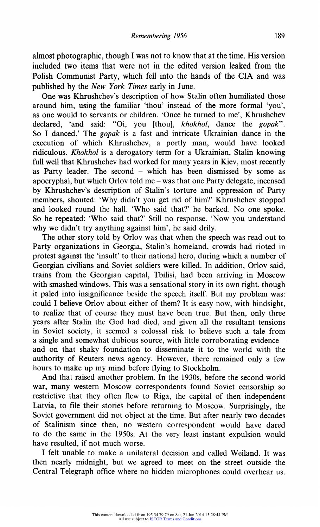almost photographic, though I was not to know that at the time. His version included two items that were not in the edited version leaked from the Polish Communist Party, which fell into the hands of the CIA and was published by the New York Times early in June.

One was Khrushchev's description of how Stalin often humiliated those around him, using the familiar 'thou' instead of the more formal 'you', as one would to servants or children. 'Once he turned to me', Khrushchev declared, 'and said: "Oi, you [thou], khokhol, dance the gopak". So I danced.' The gopak is a fast and intricate Ukrainian dance in the execution of which Khrushchev, a portly man, would have looked ridiculous. Khokhol is a derogatory term for a Ukrainian, Stalin knowing full well that Khrushchev had worked for many years in Kiev, most recently as Party leader. The second - which has been dismissed by some as apocryphal, but which Orlov told me - was that one Party delegate, incensed by Khrushchev's description of Stalin's torture and oppression of Party members, shouted: 'Why didn't you get rid of him?' Khrushchev stopped and looked round the hall. 'Who said that?' he barked. No one spoke. So he repeated: 'Who said that?' Still no response. 'Now you understand why we didn't try anything against him', he said drily.

The other story told by Orlov was that when the speech was read out to Party organizations in Georgia, Stalin's homeland, crowds had rioted in protest against the 'insult' to their national hero, during which a number of Georgian civilians and Soviet soldiers were killed. In addition, Orlov said, trains from the Georgian capital, Tbilisi, had been arriving in Moscow with smashed windows. This was a sensational story in its own right, though it paled into insignificance beside the speech itself. But my problem was: could I believe Orlov about either of them? It is easy now, with hindsight, to realize that of course they must have been true. But then, only three years after Stalin the God had died, and given all the resultant tensions in Soviet society, it seemed a colossal risk to believe such a tale from a single and somewhat dubious source, with little corroborating evidence and on that shaky foundation to disseminate it to the world with the authority of Reuters news agency. However, there remained only a few hours to make up my mind before flying to Stockholm.

And that raised another problem. In the 1930s, before the second world war, many western Moscow correspondents found Soviet censorship so restrictive that they often flew to Riga, the capital of then independent Latvia, to file their stories before returning to Moscow. Surprisingly, the Soviet government did not object at the time. But after nearly two decades of Stalinism since then, no western correspondent would have dared to do the same in the 1950s. At the very least instant expulsion would have resulted, if not much worse.

I felt unable to make a unilateral decision and called Weiland. It was then nearly midnight, but we agreed to meet on the street outside the Central Telegraph office where no hidden microphones could overhear us.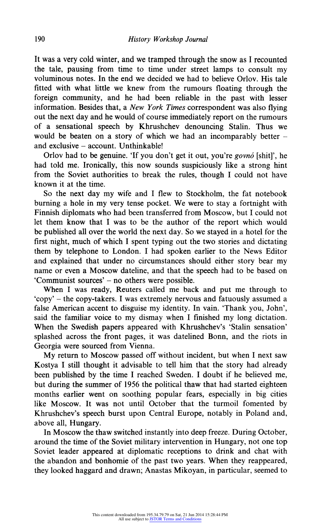It was a very cold winter, and we tramped through the snow as I recounted the tale, pausing from time to time under street lamps to consult my voluminous notes. In the end we decided we had to believe Orlov. His tale fitted with what little we knew from the rumours floating through the foreign community, and he had been reliable in the past with lesser information. Besides that, a New York Times correspondent was also flying out the next day and he would of course immediately report on the rumours of a sensational speech by Khrushchev denouncing Stalin. Thus we would be beaten on a story of which we had an incomparably better  $$ and exclusive - account. Unthinkable!

Orlov had to be genuine. 'If you don't get it out, you're *govno* [shit]', he had told me. Ironically, this now sounds suspiciously like a strong hint from the Soviet authorities to break the rules, though I could not have known it at the time.

So the next day my wife and I flew to Stockholm, the fat notebook burning a hole in my very tense pocket. We were to stay a fortnight with Finnish diplomats who had been transferred from Moscow, but I could not let them know that I was to be the author of the report which would be published all over the world the next day. So we stayed in a hotel for the first night, much of which I spent typing out the two stories and dictating them by telephone to London. I had spoken earlier to the News Editor and explained that under no circumstances should either story bear my name or even a Moscow dateline, and that the speech had to be based on 'Communist sources' - no others were possible.

When I was ready, Reuters called me back and put me through to 'copy' false American accent to disguise my identity. In vain. 'Thank you, John', 'copy' – the copy-takers. I was extremely nervous and fatuously assumed a said the familiar voice to my dismay when I finished my long dictation. When the Swedish papers appeared with Khrushchev's 'Stalin sensation' splashed across the front pages, it was datelined Bonn, and the riots in Georgia were sourced from Vienna.

My return to Moscow passed off without incident, but when I next saw Kostya I still thought it advisable to tell him that the story had already been published by the time I reached Sweden. I doubt if he believed me, but during the summer of 1956 the political thaw that had started eighteen months earlier went on soothing popular fears, especially in big cities like Moscow. It was not until October that the turmoil fomented by Khrushchev's speech burst upon Central Europe, notably in Poland and, above all, Hungary.

In Moscow the thaw switched instantly into deep freeze. During October, around the time of the Soviet military intervention in Hungary, not one top Soviet leader appeared at diplomatic receptions to drink and chat with the abandon and bonhomie of the past two years. When they reappeared, they looked haggard and drawn; Anastas Mikoyan, in particular, seemed to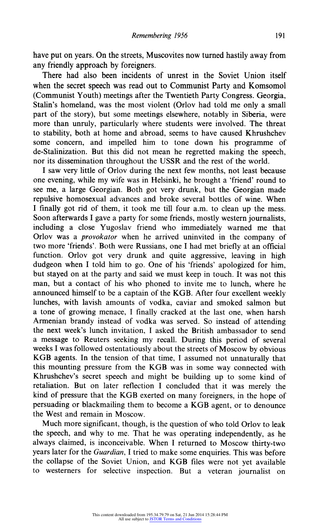have put on years. On the streets, Muscovites now turned hastily away from any friendly approach by foreigners. any friendly approach by foreigners.

There had also been incidents of unrest in the Soviet Union itself when the secret speech was read out to Communist Party and Komson (Communist Youth) meetings after the Twentieth Party Congress. Georgi Stalin's homeland, was the most violent (Orlov had told me only a small part of the story), but some meetings elsewhere, notably in Siberia, were more than unruly, particularly where students were involved. The threat to stability, both at home and abroad, seems to have caused Khrushchev some concern, and impelled him to tone down his programme of de-Stalinization. But this did not mean he regretted making the speech, nor its dissemination throughout the USSR and the rest of the world.

I saw very little of Orlov during the next few months, not least because one evening, while my wife was in Helsinki, he brought a 'friend' round to see me, a large Georgian. Both got very drunk, but the Georgian made repulsive homosexual advances and broke several bottles of wine. When I finally got rid of them, it took me till four a.m. to clean up the mess. Soon afterwards I gave a party for some friends, mostly western journalists, including a close Yugoslav friend who immediately warned me that Orlov was a provokator when he arrived uninvited in the company of two more 'friends'. Both were Russians, one I had met briefly at an official function. Orlov got very drunk and quite aggressive, leaving in high dudgeon when I told him to go. One of his 'friends' apologized for him, but stayed on at the party and said we must keep in touch. It was not this man, but a contact of his who phoned to invite me to lunch, where he announced himself to be a captain of the KGB. After four excellent weekly lunches, with lavish amounts of vodka, caviar and smoked salmon but a tone of growing menace, I finally cracked at the last one, when harsh Armenian brandy instead of vodka was served. So instead of attending the next week's lunch invitation, I asked the British ambassador to send a message to Reuters seeking my recall. During this period of several weeks I was followed ostentatiously about the streets of Moscow by obvious KGB agents. In the tension of that time, I assumed not unnaturally that this mounting pressure from the KGB was in some way connected with Khrushchev's secret speech and might be building up to some kind of retaliation. But on later reflection I concluded that it was merely the kind of pressure that the KGB exerted on many foreigners, in the hope of persuading or blackmailing them to become a KGB agent, or to denounce the West and remain in Moscow.

Much more significant, though, is the question of who told Orlov to leak the speech, and why to me. That he was operating independently, as he always claimed, is inconceivable. When I returned to Moscow thirty-two years later for the Guardian, I tried to make some enquiries. This was before the collapse of the Soviet Union, and KGB files were not yet available to westerners for selective inspection. But a veteran journalist on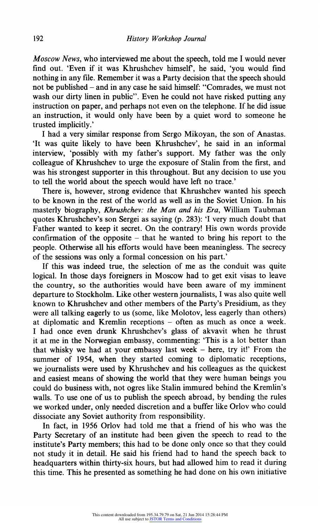Moscow News, who interviewed me about the speech, told me I would never find out. 'Even if it was Khrushchev himself, he said, 'you would find nothing in any file. Remember it was a Party decision that the speech should not be published - and in any case he said himself: "Comrades, we must not wash our dirty linen in public". Even he could not have risked putting any instruction on paper, and perhaps not even on the telephone. If he did issue an instruction, it would only have been by a quiet word to someone he trusted implicitly.'

I had a very similar response from Sergo Mikoyan, the son of Anastas. 'It was quite likely to have been Khrushchev', he said in an informal interview, 'possibly with my father's support. My father was the only colleague of Khrushchev to urge the exposure of Stalin from the first, and was his strongest supporter in this throughout. But any decision to use you to tell the world about the speech would have left no trace.'<br>There is, however, strong evidence that Khrushchev wanted his speech

There is, however, strong evidence that Khrushchev wanted his speech to be known in the rest of the world as well as in the Soviet Union. In his masterly biography, *Khrushchev: the Man and his Era*, William Taubman quotes Khrushchev's son Sergei as saving (p. 283): 'I very much doubt that quotes Khrushchev's son Sergei as saying (p. 283): T very much doubt that Father wanted to keep it secret. On the contrary! His own words provide confirmation of the opposite  $-$  that he wanted to bring his report to the people. Otherwise all his efforts would have been meaningless. The secrecy of the sessions was only a formal concession on his part.'

If this was indeed true, the selection of me as the conduit was quite logical. In those days foreigners in Moscow had to get exit visas to leave the country, so the authorities would have been aware of my imminent departure to Stockholm. Like other western journalists, I was also quite well known to Khrushchev and other members of the Party's Presidium, as they were all talking eagerly to us (some, like Molotov, less eagerly than others) at diplomatic and Kremlin receptions - often as much as once a week. I had once even drunk Khrushchev's glass of akvavit when he thrust it at me in the Norwegian embassy, commenting: 'This is a lot better than that whisky we had at your embassy last week - here, try it!' From the summer of 1954, when they started coming to diplomatic receptions, we journalists were used by Khrushchev and his colleagues as the quickest and easiest means of showing the world that they were human beings you could do business with, not ogres like Stalin immured behind the Kremlin's walls. To use one of us to publish the speech abroad, by bending the rules we worked under, only needed discretion and a buffer like Orlov who could dissociate any Soviet authority from responsibility.

In fact, in 1956 Orlov had told me that a friend of his who was the Party Secretary of an institute had been given the speech to read to the institute's Party members; this had to be done only once so that they could not study it in detail. He said his friend had to hand the speech back to headquarters within thirty-six hours, but had allowed him to read it during this time. This he presented as something he had done on his own initiative